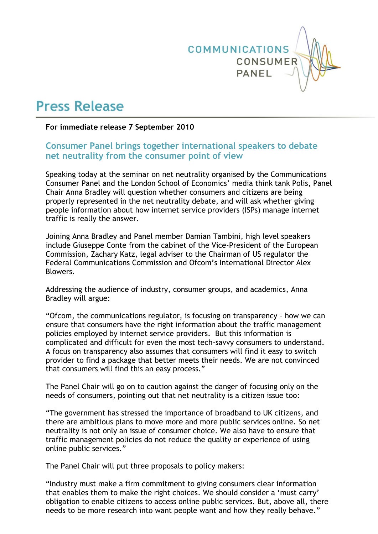

# **Press Release**

## **For immediate release 7 September 2010**

## **Consumer Panel brings together international speakers to debate net neutrality from the consumer point of view**

Speaking today at the seminar on net neutrality organised by the Communications Consumer Panel and the London School of Economics" media think tank Polis, Panel Chair Anna Bradley will question whether consumers and citizens are being properly represented in the net neutrality debate, and will ask whether giving people information about how internet service providers (ISPs) manage internet traffic is really the answer.

Joining Anna Bradley and Panel member Damian Tambini, high level speakers include Giuseppe Conte from the cabinet of the Vice-President of the European Commission, Zachary Katz, legal adviser to the Chairman of US regulator the Federal Communications Commission and Ofcom"s International Director Alex Blowers.

Addressing the audience of industry, consumer groups, and academics, Anna Bradley will argue:

"Ofcom, the communications regulator, is focusing on transparency – how we can ensure that consumers have the right information about the traffic management policies employed by internet service providers. But this information is complicated and difficult for even the most tech-savvy consumers to understand. A focus on transparency also assumes that consumers will find it easy to switch provider to find a package that better meets their needs. We are not convinced that consumers will find this an easy process."

The Panel Chair will go on to caution against the danger of focusing only on the needs of consumers, pointing out that net neutrality is a citizen issue too:

"The government has stressed the importance of broadband to UK citizens, and there are ambitious plans to move more and more public services online. So net neutrality is not only an issue of consumer choice. We also have to ensure that traffic management policies do not reduce the quality or experience of using online public services."

The Panel Chair will put three proposals to policy makers:

"Industry must make a firm commitment to giving consumers clear information that enables them to make the right choices. We should consider a "must carry" obligation to enable citizens to access online public services. But, above all, there needs to be more research into want people want and how they really behave."